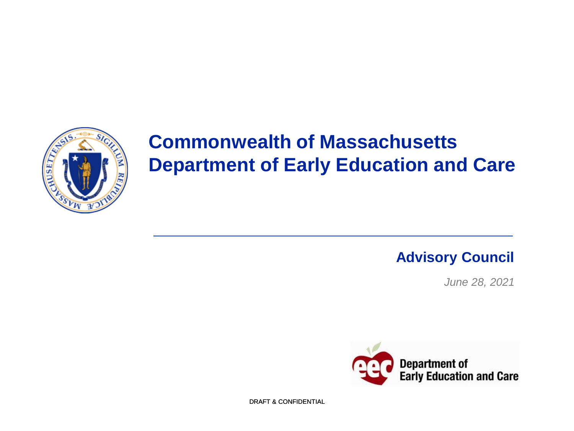

# **Commonwealth of Massachusetts Department of Early Education and Care**

**Advisory Council**

*June 28, 2021*



DRAFT & CONFIDENTIAL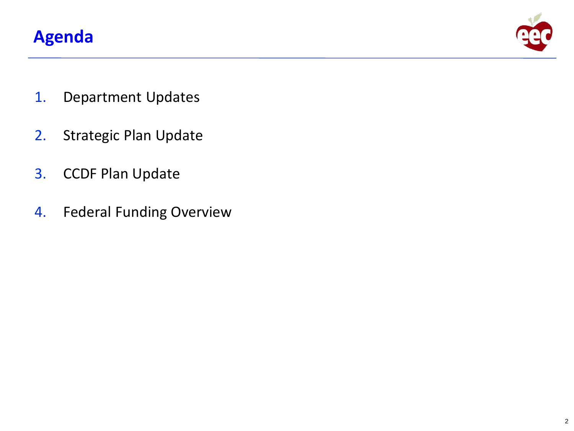

- 1. Department Updates
- 2. Strategic Plan Update
- 3. CCDF Plan Update
- 4. Federal Funding Overview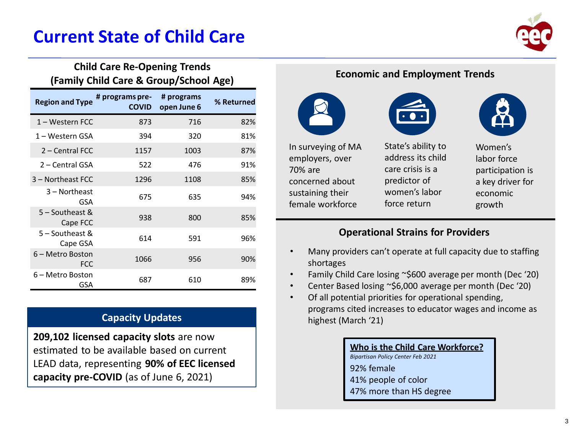# **Current State of Child Care**



#### **Child Care Re-Opening Trends (Family Child Care & Group/School Age)**

| <b>Region and Type</b>         | # programs pre-<br>COVID | # programs<br>open June 6 | % Returned |
|--------------------------------|--------------------------|---------------------------|------------|
| $1 -$ Western FCC              | 873                      | 716                       | 82%        |
| 1 – Western GSA                | 394                      | 320                       | 81%        |
| $2$ – Central FCC              | 1157                     | 1003                      | 87%        |
| 2 – Central GSA                | 522                      | 476                       | 91%        |
| 3 - Northeast FCC              | 1296                     | 1108                      | 85%        |
| $3 -$ Northeast<br>GSA         | 675                      | 635                       | 94%        |
| $5 -$ Southeast &<br>Cape FCC  | 938                      | 800                       | 85%        |
| $5 -$ Southeast &<br>Cape GSA  | 614                      | 591                       | 96%        |
| 6 – Metro Boston<br><b>FCC</b> | 1066                     | 956                       | 90%        |
| 6 – Metro Boston<br>GSA        | 687                      | 610                       | 89%        |

#### **Capacity Updates**

**209,102 licensed capacity slots** are now estimated to be available based on current LEAD data, representing **90% of EEC licensed capacity pre-COVID** (as of June 6, 2021)

#### **Economic and Employment Trends**







In surveying of MA employers, over 70% are concerned about sustaining their female workforce

State's ability to address its child care crisis is a predictor of women's labor force return

Women's labor force participation is a key driver for economic growth

#### **Operational Strains for Providers**

- Many providers can't operate at full capacity due to staffing shortages
- Family Child Care losing ~\$600 average per month (Dec '20)
- Center Based losing ~\$6,000 average per month (Dec '20)
- Of all potential priorities for operational spending, programs cited increases to educator wages and income as highest (March '21)

#### **Who is the Child Care Workforce?**

*Bipartisan Policy Center Feb 2021*

92% female

41% people of color

47% more than HS degree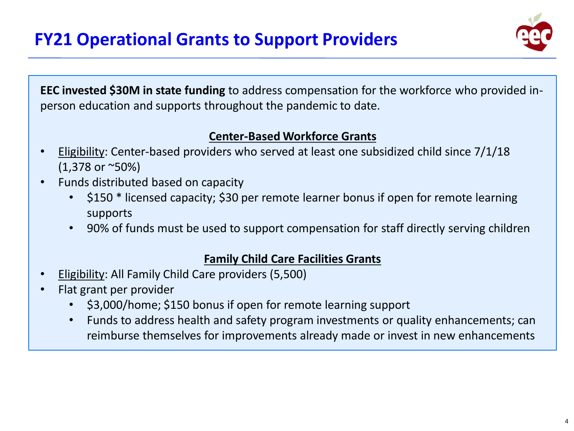

**EEC invested \$30M in state funding** to address compensation for the workforce who provided inperson education and supports throughout the pandemic to date.

#### **Center-Based Workforce Grants**

- Eligibility: Center-based providers who served at least one subsidized child since 7/1/18 (1,378 or ~50%)
- Funds distributed based on capacity
	- \$150 \* licensed capacity; \$30 per remote learner bonus if open for remote learning supports
	- 90% of funds must be used to support compensation for staff directly serving children

## **Family Child Care Facilities Grants**

- Eligibility: All Family Child Care providers (5,500)
- Flat grant per provider
	- \$3,000/home; \$150 bonus if open for remote learning support
	- Funds to address health and safety program investments or quality enhancements; can reimburse themselves for improvements already made or invest in new enhancements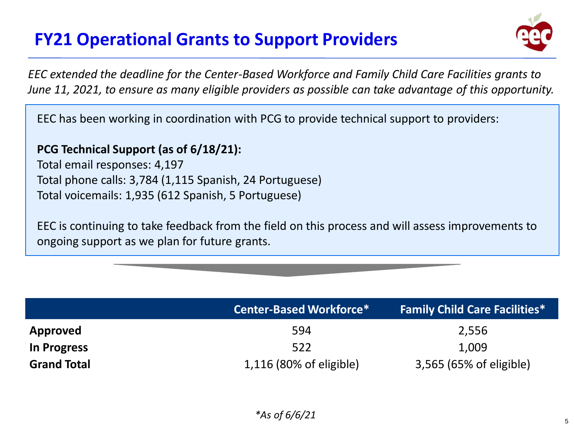# **FY21 Operational Grants to Support Providers**



*EEC extended the deadline for the Center-Based Workforce and Family Child Care Facilities grants to June 11, 2021, to ensure as many eligible providers as possible can take advantage of this opportunity.* 

EEC has been working in coordination with PCG to provide technical support to providers:

#### **PCG Technical Support (as of 6/18/21):**

Total email responses: 4,197 Total phone calls: 3,784 (1,115 Spanish, 24 Portuguese) Total voicemails: 1,935 (612 Spanish, 5 Portuguese)

EEC is continuing to take feedback from the field on this process and will assess improvements to ongoing support as we plan for future grants.

|                    | <b>Center-Based Workforce*</b> | <b>Family Child Care Facilities*</b> |
|--------------------|--------------------------------|--------------------------------------|
| Approved           | 594                            | 2,556                                |
| In Progress        | 522                            | 1,009                                |
| <b>Grand Total</b> | 1,116 (80% of eligible)        | 3,565 (65% of eligible)              |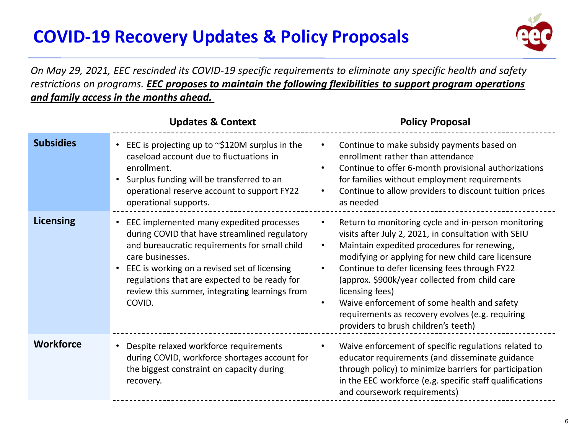# **COVID-19 Recovery Updates & Policy Proposals**



*On May 29, 2021, EEC rescinded its COVID-19 specific requirements to eliminate any specific health and safety restrictions on programs. EEC proposes to maintain the following flexibilities to support program operations and family access in the months ahead.*

| <b>Updates &amp; Context</b> |                                                                                                                                                                                                                                                                                                                                          | <b>Policy Proposal</b>                                                                                                                                                                                                                                                                                                                                                                                                                                                                                                        |  |
|------------------------------|------------------------------------------------------------------------------------------------------------------------------------------------------------------------------------------------------------------------------------------------------------------------------------------------------------------------------------------|-------------------------------------------------------------------------------------------------------------------------------------------------------------------------------------------------------------------------------------------------------------------------------------------------------------------------------------------------------------------------------------------------------------------------------------------------------------------------------------------------------------------------------|--|
| <b>Subsidies</b>             | EEC is projecting up to $\sim$ \$120M surplus in the<br>$\bullet$<br>caseload account due to fluctuations in<br>enrollment.<br>Surplus funding will be transferred to an<br>operational reserve account to support FY22<br>operational supports.                                                                                         | Continue to make subsidy payments based on<br>enrollment rather than attendance<br>Continue to offer 6-month provisional authorizations<br>$\bullet$<br>for families without employment requirements<br>Continue to allow providers to discount tuition prices<br>٠<br>as needed                                                                                                                                                                                                                                              |  |
| <b>Licensing</b>             | EEC implemented many expedited processes<br>during COVID that have streamlined regulatory<br>and bureaucratic requirements for small child<br>care businesses.<br>EEC is working on a revised set of licensing<br>$\bullet$<br>regulations that are expected to be ready for<br>review this summer, integrating learnings from<br>COVID. | Return to monitoring cycle and in-person monitoring<br>٠<br>visits after July 2, 2021, in consultation with SEIU<br>Maintain expedited procedures for renewing,<br>$\bullet$<br>modifying or applying for new child care licensure<br>Continue to defer licensing fees through FY22<br>$\bullet$<br>(approx. \$900k/year collected from child care<br>licensing fees)<br>Waive enforcement of some health and safety<br>$\bullet$<br>requirements as recovery evolves (e.g. requiring<br>providers to brush children's teeth) |  |
| <b>Workforce</b>             | Despite relaxed workforce requirements<br>during COVID, workforce shortages account for<br>the biggest constraint on capacity during<br>recovery.                                                                                                                                                                                        | Waive enforcement of specific regulations related to<br>educator requirements (and disseminate guidance<br>through policy) to minimize barriers for participation<br>in the EEC workforce (e.g. specific staff qualifications<br>and coursework requirements)                                                                                                                                                                                                                                                                 |  |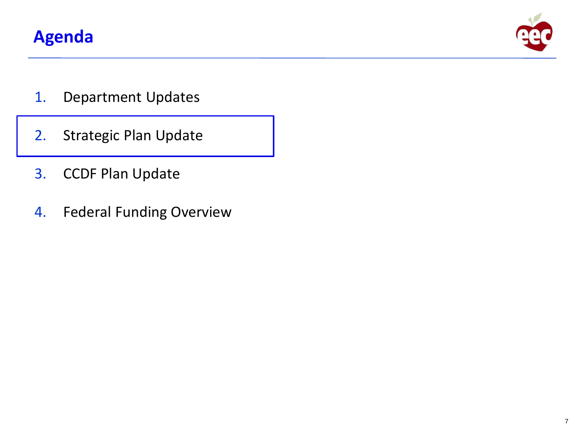

- 1. Department Updates
- 2. Strategic Plan Update
- 3. CCDF Plan Update
- 4. Federal Funding Overview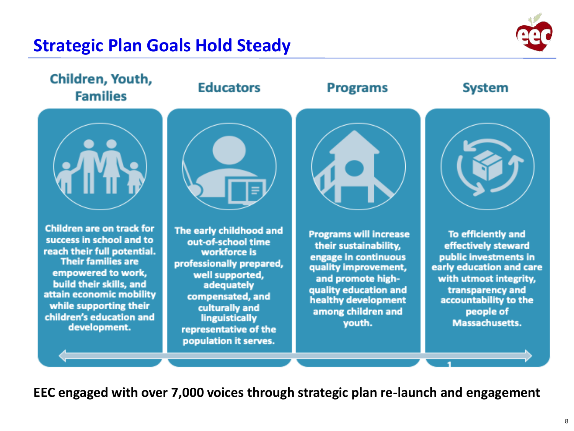## **Strategic Plan Goals Hold Steady**





**EEC engaged with over 7,000 voices through strategic plan re-launch and engagement**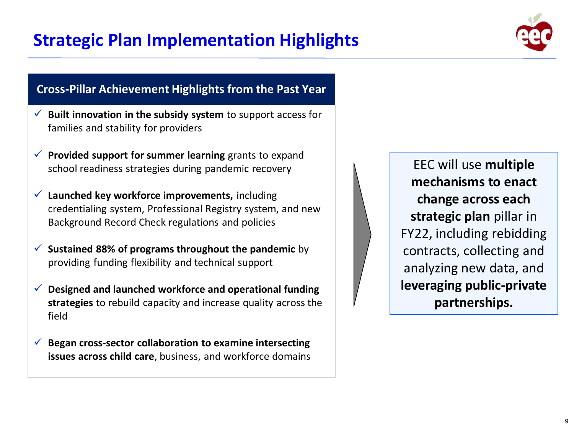#### **Cross-Pillar Achievement Highlights from the Past Year**

- ✓ **Built innovation in the subsidy system** to support access for families and stability for providers
- ✓ **Provided support for summer learning** grants to expand school readiness strategies during pandemic recovery
- ✓ **Launched key workforce improvements,** including credentialing system, Professional Registry system, and new Background Record Check regulations and policies
- ✓ **Sustained 88% of programs throughout the pandemic** by providing funding flexibility and technical support
- ✓ **Designed and launched workforce and operational funding strategies** to rebuild capacity and increase quality across the field
- ✓ **Began cross-sector collaboration to examine intersecting issues across child care**, business, and workforce domains



EEC will use **multiple mechanisms to enact change across each strategic plan** pillar in FY22, including rebidding contracts, collecting and analyzing new data, and **leveraging public-private partnerships.**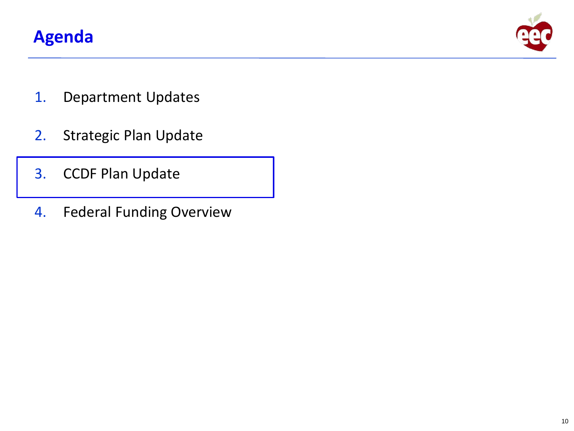

- 1. Department Updates
- 2. Strategic Plan Update
- 3. CCDF Plan Update
- 4. Federal Funding Overview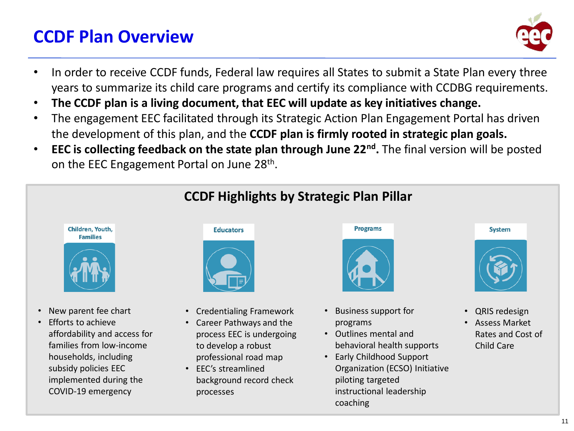## **CCDF Plan Overview**



- In order to receive CCDF funds, Federal law requires all States to submit a State Plan every three years to summarize its child care programs and certify its compliance with CCDBG requirements.
- **The CCDF plan is a living document, that EEC will update as key initiatives change.**
- The engagement EEC facilitated through its Strategic Action Plan Engagement Portal has driven the development of this plan, and the **CCDF plan is firmly rooted in strategic plan goals.**
- **EEC is collecting feedback on the state plan through June 22nd .** The final version will be posted on the EEC Engagement Portal on June 28<sup>th</sup>.

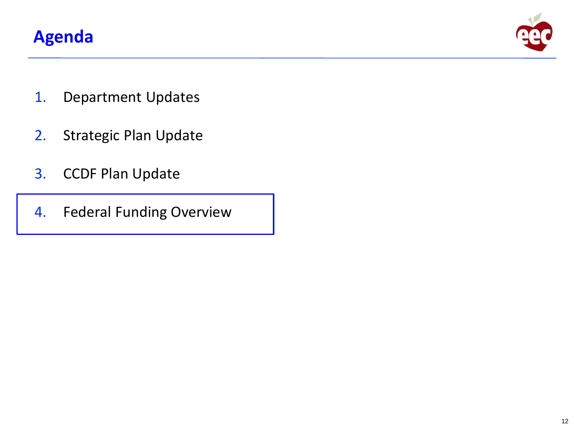

- 1. Department Updates
- 2. Strategic Plan Update
- 3. CCDF Plan Update

4. Federal Funding Overview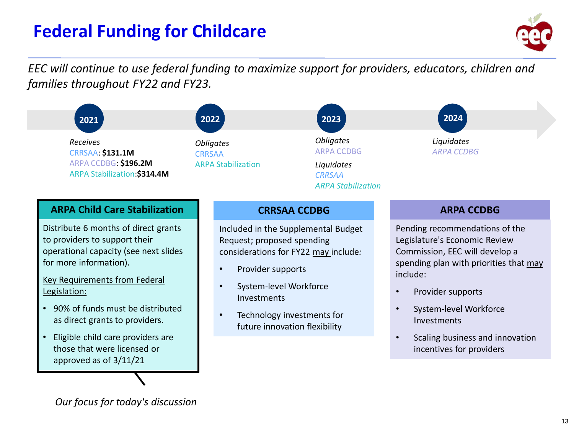# **Federal Funding for Childcare**



*EEC will continue to use federal funding to maximize support for providers, educators, children and families throughout FY22 and FY23.* 



• Eligible child care providers are those that were licensed or approved as of 3/11/21

*Our focus for today's discussion*

incentives for providers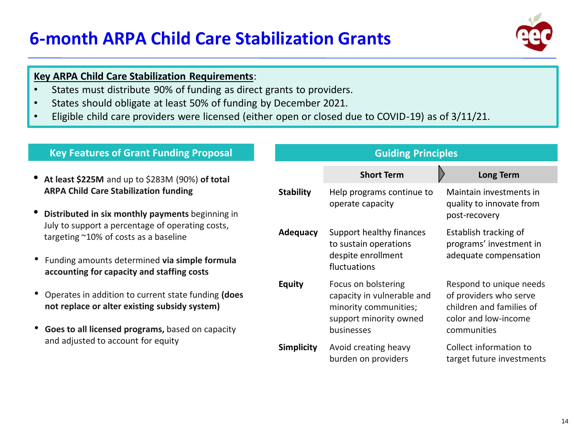# **6-month ARPA Child Care Stabilization Grants**

#### **Key ARPA Child Care Stabilization Requirements**:

- States must distribute 90% of funding as direct grants to providers.
- States should obligate at least 50% of funding by December 2021.
- Eligible child care providers were licensed (either open or closed due to COVID-19) as of 3/11/21.

### **Key Features of Grant Funding Proposal**

- **At least \$225M** and up to \$283M (90%) **of total ARPA Child Care Stabilization funding**
- **Distributed in six monthly payments** beginning in July to support a percentage of operating costs, targeting ~10% of costs as a baseline
- Funding amounts determined **via simple formula accounting for capacity and staffing costs**
- Operates in addition to current state funding **(does not replace or alter existing subsidy system)**
- **Goes to all licensed programs,** based on capacity and adjusted to account for equity

| <b>Guiding Principles</b> |                                                                                                                    |                                                                                                                      |  |  |
|---------------------------|--------------------------------------------------------------------------------------------------------------------|----------------------------------------------------------------------------------------------------------------------|--|--|
|                           | <b>Short Term</b>                                                                                                  | <b>Long Term</b>                                                                                                     |  |  |
| <b>Stability</b>          | Help programs continue to<br>operate capacity                                                                      | Maintain investments in<br>quality to innovate from<br>post-recovery                                                 |  |  |
| <b>Adequacy</b>           | Support healthy finances<br>to sustain operations<br>despite enrollment<br>fluctuations                            | Establish tracking of<br>programs' investment in<br>adequate compensation                                            |  |  |
| <b>Equity</b>             | Focus on bolstering<br>capacity in vulnerable and<br>minority communities;<br>support minority owned<br>businesses | Respond to unique needs<br>of providers who serve<br>children and families of<br>color and low-income<br>communities |  |  |
| <b>Simplicity</b>         | Avoid creating heavy<br>burden on providers                                                                        | Collect information to<br>target future investments                                                                  |  |  |

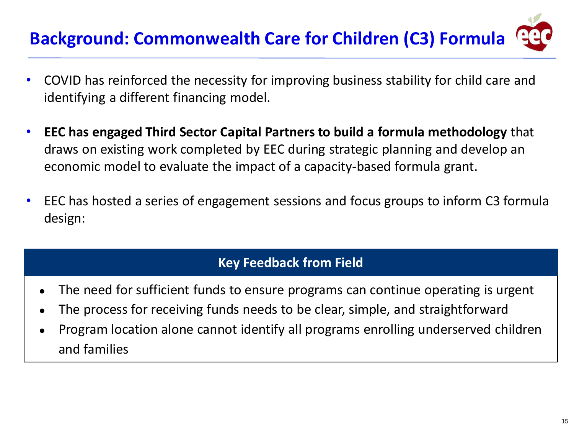# **Background: Commonwealth Care for Children (C3) Formula**

- COVID has reinforced the necessity for improving business stability for child care and identifying a different financing model.
- **EEC has engaged Third Sector Capital Partners to build a formula methodology** that draws on existing work completed by EEC during strategic planning and develop an economic model to evaluate the impact of a capacity-based formula grant.
- EEC has hosted a series of engagement sessions and focus groups to inform C3 formula design:

## **Key Feedback from Field**

- The need for sufficient funds to ensure programs can continue operating is urgent
- The process for receiving funds needs to be clear, simple, and straightforward
- Program location alone cannot identify all programs enrolling underserved children and families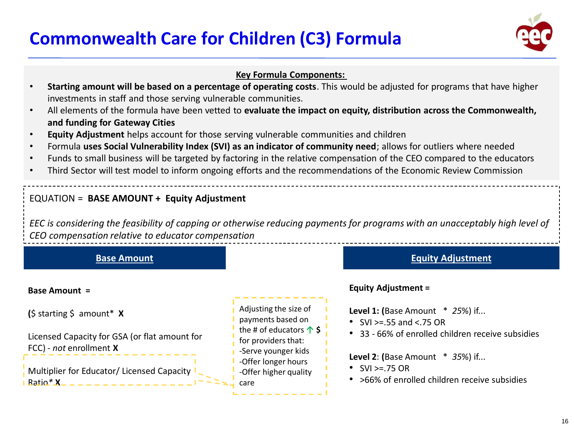# **Commonwealth Care for Children (C3) Formula**



#### **Key Formula Components:**

- **Starting amount will be based on a percentage of operating costs**. This would be adjusted for programs that have higher investments in staff and those serving vulnerable communities.
- All elements of the formula have been vetted to **evaluate the impact on equity, distribution across the Commonwealth, and funding for Gateway Cities**
- **Equity Adjustment** helps account for those serving vulnerable communities and children
- Formula **uses Social Vulnerability Index (SVI) as an indicator of community need**; allows for outliers where needed
- Funds to small business will be targeted by factoring in the relative compensation of the CEO compared to the educators
- Third Sector will test model to inform ongoing efforts and the recommendations of the Economic Review Commission

#### EQUATION = **BASE AMOUNT + Equity Adjustment**

*EEC is considering the feasibility of capping or otherwise reducing payments for programs with an unacceptably high level of CEO compensation relative to educator compensation* 

#### **Base Amount =**

**(**\$ starting \$ amount\* **X**

Licensed Capacity for GSA (or flat amount for FCC) - *not* enrollment **X**

Multiplier for Educator/ Licensed Capacity Ratio*\** **X**

Adjusting the size of payments based on the # of educators **↑ \$** for providers that: -Serve younger kids -Offer longer hours -Offer higher quality care

#### **Base Amount Equity Adjustment**

#### **Equity Adjustment =**

**Level 1: (**Base Amount \* *25*%) if...

- SVI > = .55 and < .75 OR
- 33 66% of enrolled children receive subsidies

**Level 2**: **(**Base Amount \* *35*%) if...

- $\cdot$  SVI >=.75 OR
- >66% of enrolled children receive subsidies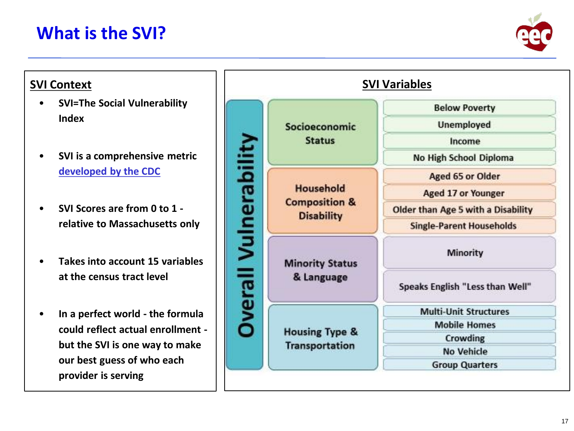# **What is the SVI?**



#### **SVI Context**

- **SVI=The Social Vulnerability Index**
- **SVI is a comprehensive metric [developed by the CDC](https://www.atsdr.cdc.gov/placeandhealth/svi/index.html)**
- **SVI Scores are from 0 to 1 relative to Massachusetts only**
- **Takes into account 15 variables at the census tract level**
- **In a perfect world - the formula could reflect actual enrollment but the SVI is one way to make our best guess of who each provider is serving**